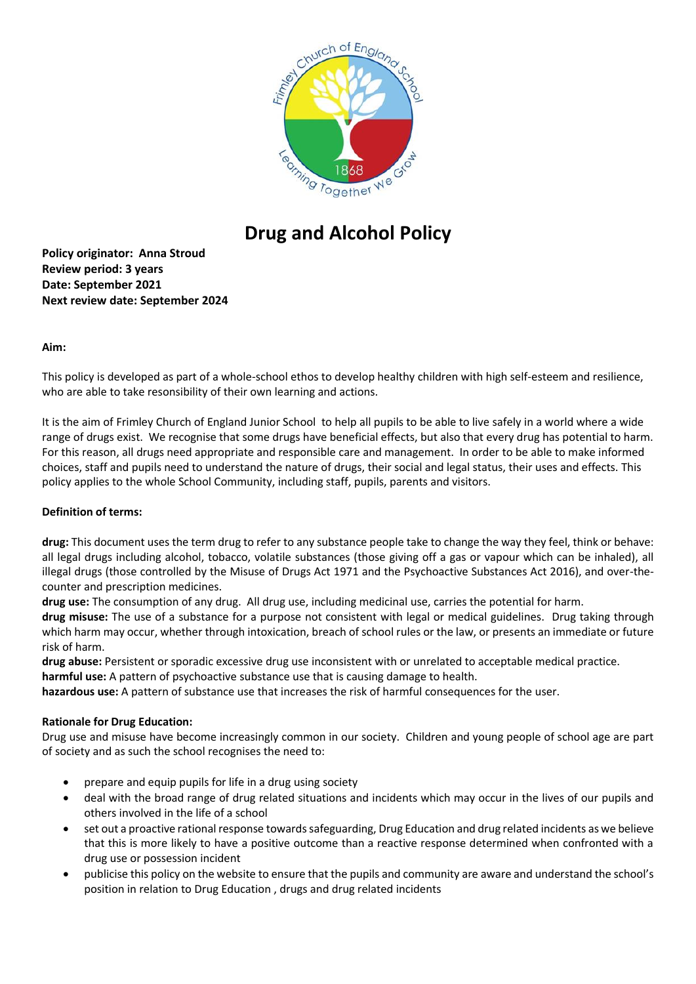

# **Drug and Alcohol Policy**

**Policy originator: Anna Stroud Review period: 3 years Date: September 2021 Next review date: September 2024**

### **Aim:**

This policy is developed as part of a whole-school ethos to develop healthy children with high self-esteem and resilience, who are able to take resonsibility of their own learning and actions.

It is the aim of Frimley Church of England Junior School to help all pupils to be able to live safely in a world where a wide range of drugs exist. We recognise that some drugs have beneficial effects, but also that every drug has potential to harm. For this reason, all drugs need appropriate and responsible care and management. In order to be able to make informed choices, staff and pupils need to understand the nature of drugs, their social and legal status, their uses and effects. This policy applies to the whole School Community, including staff, pupils, parents and visitors.

# **Definition of terms:**

**drug:** This document uses the term drug to refer to any substance people take to change the way they feel, think or behave: all legal drugs including alcohol, tobacco, volatile substances (those giving off a gas or vapour which can be inhaled), all illegal drugs (those controlled by the Misuse of Drugs Act 1971 and the Psychoactive Substances Act 2016), and over-thecounter and prescription medicines.

**drug use:** The consumption of any drug. All drug use, including medicinal use, carries the potential for harm.

**drug misuse:** The use of a substance for a purpose not consistent with legal or medical guidelines. Drug taking through which harm may occur, whether through intoxication, breach of school rules or the law, or presents an immediate or future risk of harm.

**drug abuse:** Persistent or sporadic excessive drug use inconsistent with or unrelated to acceptable medical practice. **harmful use:** A pattern of psychoactive substance use that is causing damage to health.

**hazardous use:** A pattern of substance use that increases the risk of harmful consequences for the user.

# **Rationale for Drug Education:**

Drug use and misuse have become increasingly common in our society. Children and young people of school age are part of society and as such the school recognises the need to:

- prepare and equip pupils for life in a drug using society
- deal with the broad range of drug related situations and incidents which may occur in the lives of our pupils and others involved in the life of a school
- set out a proactive rational response towards safeguarding, Drug Education and drug related incidents as we believe that this is more likely to have a positive outcome than a reactive response determined when confronted with a drug use or possession incident
- publicise this policy on the website to ensure that the pupils and community are aware and understand the school's position in relation to Drug Education , drugs and drug related incidents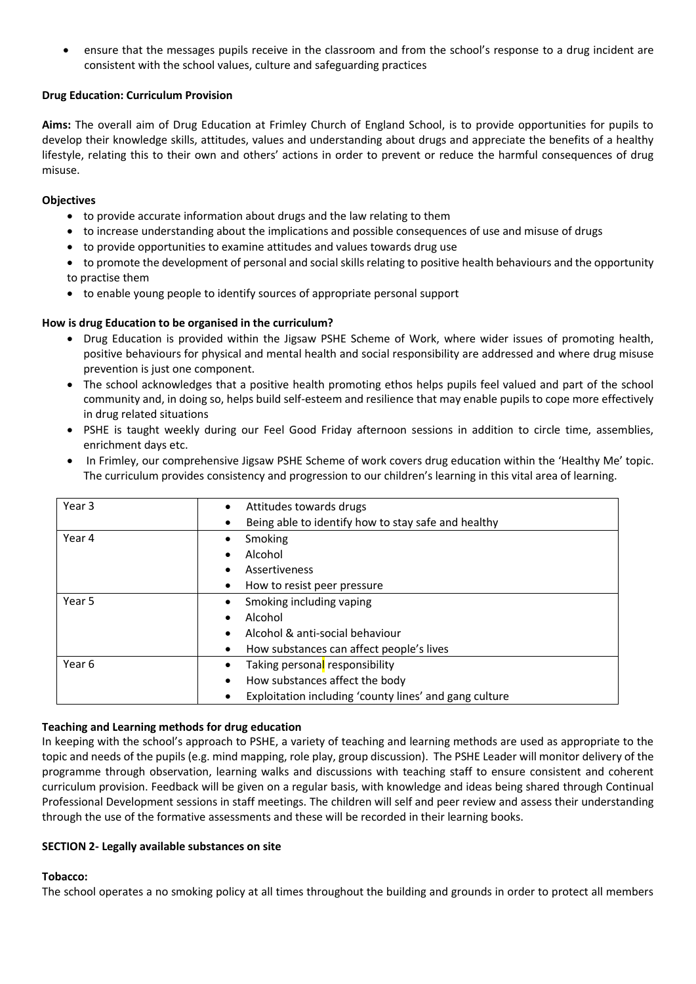ensure that the messages pupils receive in the classroom and from the school's response to a drug incident are consistent with the school values, culture and safeguarding practices

## **Drug Education: Curriculum Provision**

**Aims:** The overall aim of Drug Education at Frimley Church of England School, is to provide opportunities for pupils to develop their knowledge skills, attitudes, values and understanding about drugs and appreciate the benefits of a healthy lifestyle, relating this to their own and others' actions in order to prevent or reduce the harmful consequences of drug misuse.

### **Objectives**

- to provide accurate information about drugs and the law relating to them
- to increase understanding about the implications and possible consequences of use and misuse of drugs
- to provide opportunities to examine attitudes and values towards drug use
- to promote the development of personal and social skills relating to positive health behaviours and the opportunity to practise them
- to enable young people to identify sources of appropriate personal support

## **How is drug Education to be organised in the curriculum?**

- Drug Education is provided within the Jigsaw PSHE Scheme of Work, where wider issues of promoting health, positive behaviours for physical and mental health and social responsibility are addressed and where drug misuse prevention is just one component.
- The school acknowledges that a positive health promoting ethos helps pupils feel valued and part of the school community and, in doing so, helps build self-esteem and resilience that may enable pupils to cope more effectively in drug related situations
- PSHE is taught weekly during our Feel Good Friday afternoon sessions in addition to circle time, assemblies, enrichment days etc.
- In Frimley, our comprehensive Jigsaw PSHE Scheme of work covers drug education within the 'Healthy Me' topic. The curriculum provides consistency and progression to our children's learning in this vital area of learning.

| Year 3 | Attitudes towards drugs<br>٠                           |
|--------|--------------------------------------------------------|
|        | Being able to identify how to stay safe and healthy    |
| Year 4 | Smoking<br>٠                                           |
|        | Alcohol                                                |
|        | Assertiveness                                          |
|        | How to resist peer pressure<br>٠                       |
| Year 5 | Smoking including vaping<br>٠                          |
|        | Alcohol                                                |
|        | Alcohol & anti-social behaviour                        |
|        | How substances can affect people's lives<br>٠          |
| Year 6 | Taking personal responsibility<br>٠                    |
|        | How substances affect the body                         |
|        | Exploitation including 'county lines' and gang culture |

### **Teaching and Learning methods for drug education**

In keeping with the school's approach to PSHE, a variety of teaching and learning methods are used as appropriate to the topic and needs of the pupils (e.g. mind mapping, role play, group discussion). The PSHE Leader will monitor delivery of the programme through observation, learning walks and discussions with teaching staff to ensure consistent and coherent curriculum provision. Feedback will be given on a regular basis, with knowledge and ideas being shared through Continual Professional Development sessions in staff meetings. The children will self and peer review and assess their understanding through the use of the formative assessments and these will be recorded in their learning books.

### **SECTION 2- Legally available substances on site**

### **Tobacco:**

The school operates a no smoking policy at all times throughout the building and grounds in order to protect all members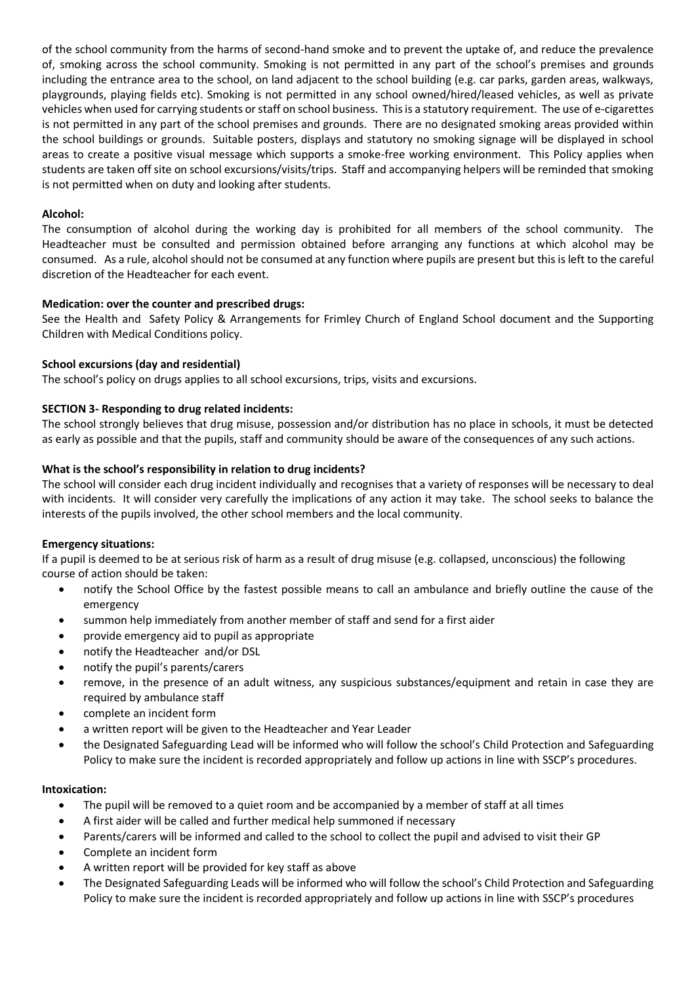of the school community from the harms of second-hand smoke and to prevent the uptake of, and reduce the prevalence of, smoking across the school community. Smoking is not permitted in any part of the school's premises and grounds including the entrance area to the school, on land adjacent to the school building (e.g. car parks, garden areas, walkways, playgrounds, playing fields etc). Smoking is not permitted in any school owned/hired/leased vehicles, as well as private vehicles when used for carrying students or staff on school business. This is a statutory requirement. The use of e-cigarettes is not permitted in any part of the school premises and grounds. There are no designated smoking areas provided within the school buildings or grounds. Suitable posters, displays and statutory no smoking signage will be displayed in school areas to create a positive visual message which supports a smoke-free working environment. This Policy applies when students are taken off site on school excursions/visits/trips. Staff and accompanying helpers will be reminded that smoking is not permitted when on duty and looking after students.

## **Alcohol:**

The consumption of alcohol during the working day is prohibited for all members of the school community. The Headteacher must be consulted and permission obtained before arranging any functions at which alcohol may be consumed. As a rule, alcohol should not be consumed at any function where pupils are present but this is left to the careful discretion of the Headteacher for each event.

## **Medication: over the counter and prescribed drugs:**

See the Health and Safety Policy & Arrangements for Frimley Church of England School document and the Supporting Children with Medical Conditions policy.

## **School excursions (day and residential)**

The school's policy on drugs applies to all school excursions, trips, visits and excursions.

## **SECTION 3- Responding to drug related incidents:**

The school strongly believes that drug misuse, possession and/or distribution has no place in schools, it must be detected as early as possible and that the pupils, staff and community should be aware of the consequences of any such actions.

## **What is the school's responsibility in relation to drug incidents?**

The school will consider each drug incident individually and recognises that a variety of responses will be necessary to deal with incidents. It will consider very carefully the implications of any action it may take. The school seeks to balance the interests of the pupils involved, the other school members and the local community.

### **Emergency situations:**

If a pupil is deemed to be at serious risk of harm as a result of drug misuse (e.g. collapsed, unconscious) the following course of action should be taken:

- notify the School Office by the fastest possible means to call an ambulance and briefly outline the cause of the emergency
- summon help immediately from another member of staff and send for a first aider
- provide emergency aid to pupil as appropriate
- notify the Headteacher and/or DSL
- notify the pupil's parents/carers
- remove, in the presence of an adult witness, any suspicious substances/equipment and retain in case they are required by ambulance staff
- complete an incident form
- a written report will be given to the Headteacher and Year Leader
- the Designated Safeguarding Lead will be informed who will follow the school's Child Protection and Safeguarding Policy to make sure the incident is recorded appropriately and follow up actions in line with SSCP's procedures.

### **Intoxication:**

- The pupil will be removed to a quiet room and be accompanied by a member of staff at all times
- A first aider will be called and further medical help summoned if necessary
- Parents/carers will be informed and called to the school to collect the pupil and advised to visit their GP
- Complete an incident form
- A written report will be provided for key staff as above
- The Designated Safeguarding Leads will be informed who will follow the school's Child Protection and Safeguarding Policy to make sure the incident is recorded appropriately and follow up actions in line with SSCP's procedures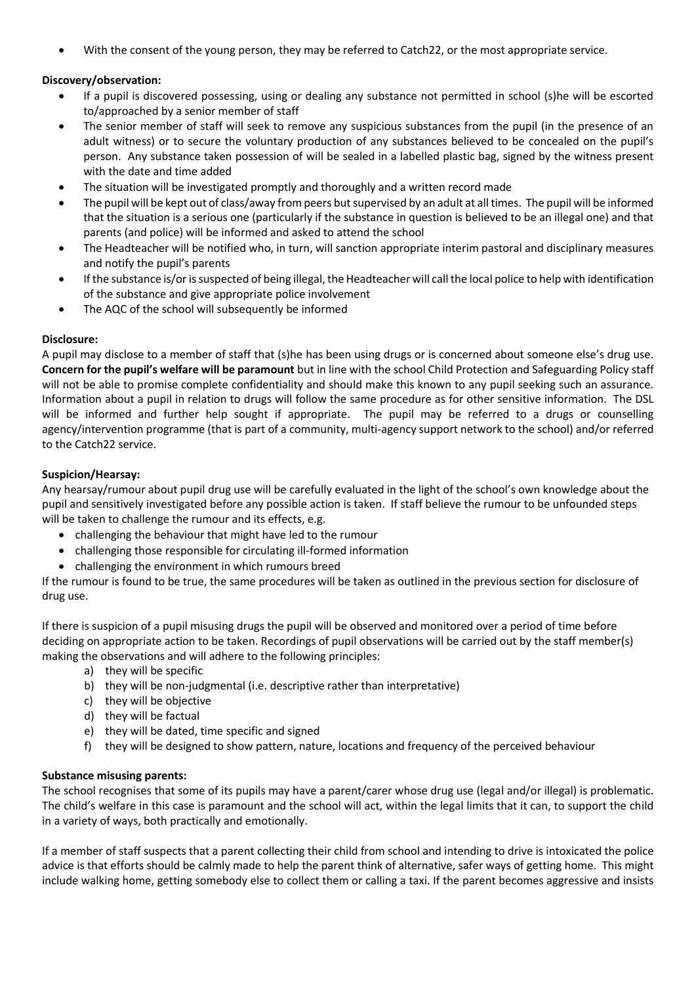With the consent of the young person, they may be referred to Catch22, or the most appropriate service.

## **Discovery/observation:**

- If a pupil is discovered possessing, using or dealing any substance not permitted in school (s)he will be escorted to/approached by a senior member of staff
- The senior member of staff will seek to remove any suspicious substances from the pupil (in the presence of an adult witness) or to secure the voluntary production of any substances believed to be concealed on the pupil's person. Any substance taken possession of will be sealed in a labelled plastic bag, signed by the witness present with the date and time added
- The situation will be investigated promptly and thoroughly and a written record made
- The pupil will be kept out of class/away from peers but supervised by an adult at all times. The pupil will be informed that the situation is a serious one (particularly if the substance in question is believed to be an illegal one) and that parents (and police) will be informed and asked to attend the school
- The Headteacher will be notified who, in turn, will sanction appropriate interim pastoral and disciplinary measures and notify the pupil's parents
- If the substance is/or is suspected of being illegal, the Headteacher will call the local police to help with identification of the substance and give appropriate police involvement
- The AQC of the school will subsequently be informed

### **Disclosure:**

A pupil may disclose to a member of staff that (s)he has been using drugs or is concerned about someone else's drug use. **Concern for the pupil's welfare will be paramount** but in line with the school Child Protection and Safeguarding Policy staff will not be able to promise complete confidentiality and should make this known to any pupil seeking such an assurance. Information about a pupil in relation to drugs will follow the same procedure as for other sensitive information. The DSL will be informed and further help sought if appropriate. The pupil may be referred to a drugs or counselling agency/intervention programme (that is part of a community, multi-agency support network to the school) and/or referred to the Catch22 service.

## **Suspicion/Hearsay:**

Any hearsay/rumour about pupil drug use will be carefully evaluated in the light of the school's own knowledge about the pupil and sensitively investigated before any possible action is taken. If staff believe the rumour to be unfounded steps will be taken to challenge the rumour and its effects, e.g.

- challenging the behaviour that might have led to the rumour
- challenging those responsible for circulating ill-formed information
- challenging the environment in which rumours breed

If the rumour is found to be true, the same procedures will be taken as outlined in the previous section for disclosure of drug use.

If there is suspicion of a pupil misusing drugs the pupil will be observed and monitored over a period of time before deciding on appropriate action to be taken. Recordings of pupil observations will be carried out by the staff member(s) making the observations and will adhere to the following principles:

- a) they will be specific
- b) they will be non-judgmental (i.e. descriptive rather than interpretative)
- c) they will be objective
- d) they will be factual
- e) they will be dated, time specific and signed
- f) they will be designed to show pattern, nature, locations and frequency of the perceived behaviour

### **Substance misusing parents:**

The school recognises that some of its pupils may have a parent/carer whose drug use (legal and/or illegal) is problematic. The child's welfare in this case is paramount and the school will act, within the legal limits that it can, to support the child in a variety of ways, both practically and emotionally.

If a member of staff suspects that a parent collecting their child from school and intending to drive is intoxicated the police advice is that efforts should be calmly made to help the parent think of alternative, safer ways of getting home. This might include walking home, getting somebody else to collect them or calling a taxi. If the parent becomes aggressive and insists